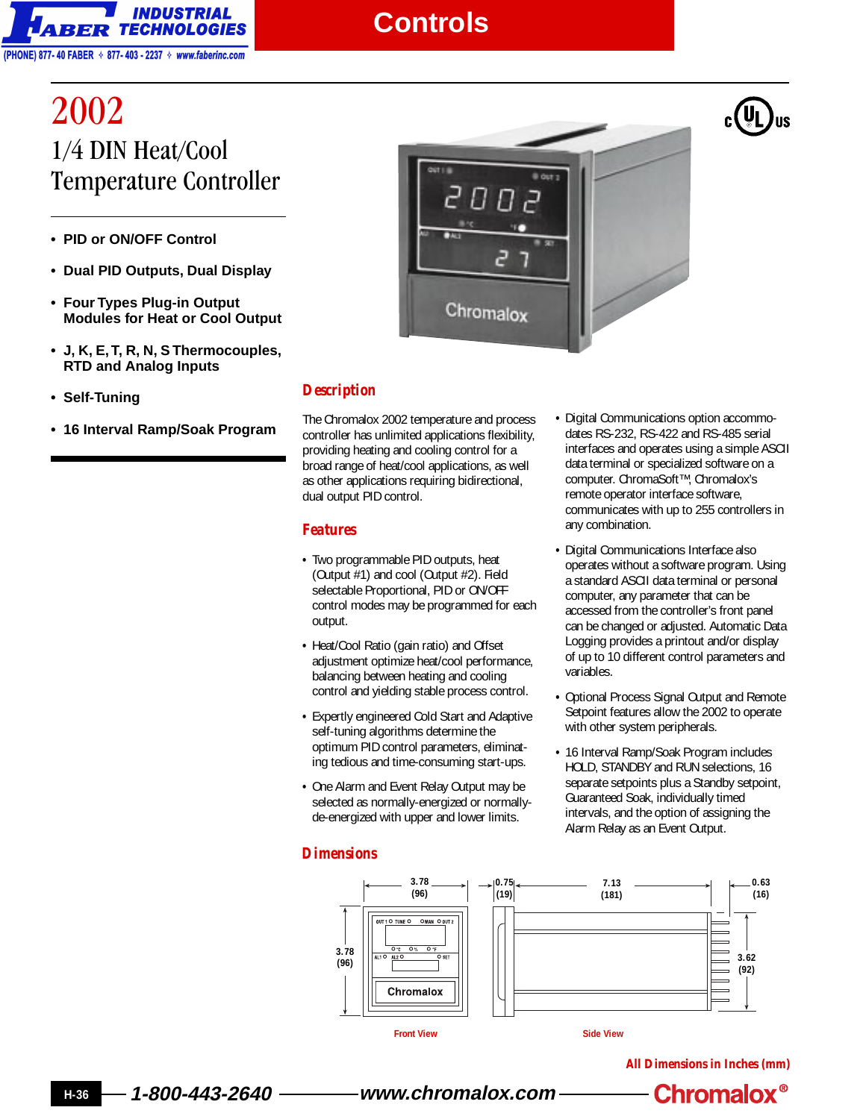

### **Controls**

# 2002 1/4 DIN Heat/Cool Temperature Controller

- **PID or ON/OFF Control**
- **Dual PID Outputs, Dual Display**
- **Four Types Plug-in Output Modules for Heat or Cool Output**
- **J, K, E, T, R, N, S Thermocouples, RTD and Analog Inputs**
- **Self-Tuning**
- **16 Interval Ramp/Soak Program**



#### *Description*

The Chromalox 2002 temperature and process controller has unlimited applications flexibility, providing heating and cooling control for a broad range of heat/cool applications, as well as other applications requiring bidirectional, dual output PID control.

#### *Features*

- **•** Two programmable PID outputs, heat (Output #1) and cool (Output #2). Field selectable Proportional, PID or ON/OFF control modes may be programmed for each output.
- **•** Heat/Cool Ratio (gain ratio) and Offset adjustment optimize heat/cool performance, balancing between heating and cooling control and yielding stable process control.
- **•** Expertly engineered Cold Start and Adaptive self-tuning algorithms determine the optimum PID control parameters, eliminating tedious and time-consuming start-ups.
- **•** One Alarm and Event Relay Output may be selected as normally-energized or normallyde-energized with upper and lower limits.
- **•** Digital Communications option accommodates RS-232, RS-422 and RS-485 serial interfaces and operates using a simple ASCII data terminal or specialized software on a computer. ChromaSoft™, Chromalox's remote operator interface software, communicates with up to 255 controllers in any combination.
- **•** Digital Communications Interface also operates without a software program. Using a standard ASCII data terminal or personal computer, any parameter that can be accessed from the controller's front panel can be changed or adjusted. Automatic Data Logging provides a printout and/or display of up to 10 different control parameters and variables.
- **•** Optional Process Signal Output and Remote Setpoint features allow the 2002 to operate with other system peripherals.
- **•** 16 Interval Ramp/Soak Program includes HOLD, STANDBY and RUN selections, 16 separate setpoints plus a Standby setpoint, Guaranteed Soak, individually timed intervals, and the option of assigning the Alarm Relay as an Event Output.

#### *Dimensions*



**All Dimensions in Inches (mm)**

**H-36 1-800-443-2640 www.chromalox.com**

**Chromalox<sup>®</sup>**